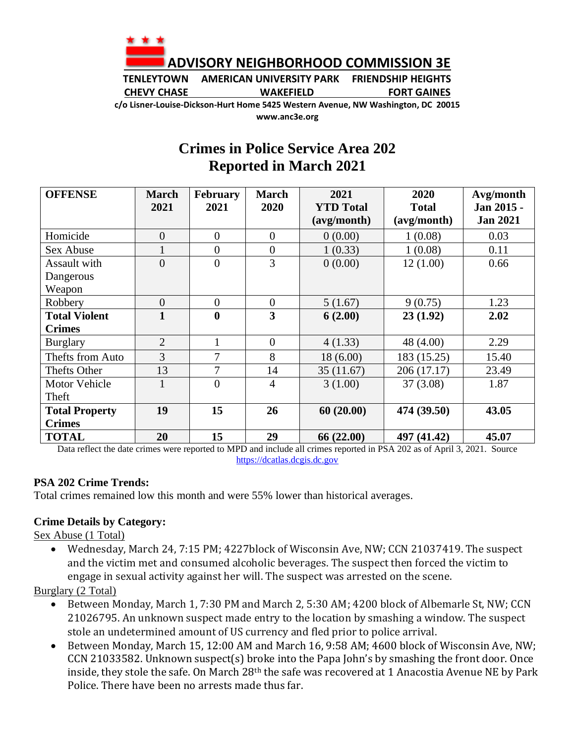

**TENLEYTOWN AMERICAN UNIVERSITY PARK FRIENDSHIP HEIGHTS CHEVY CHASE WAKEFIELD FORT GAINES**

**c/o Lisner-Louise-Dickson-Hurt Home 5425 Western Avenue, NW Washington, DC 20015 www.anc3e.org**

## **Crimes in Police Service Area 202 Reported in March 2021**

| <b>OFFENSE</b>        | <b>March</b>   | <b>February</b>  | <b>March</b>   | 2021             | 2020         | Avg/month       |
|-----------------------|----------------|------------------|----------------|------------------|--------------|-----------------|
|                       | 2021           | 2021             | 2020           | <b>YTD</b> Total | <b>Total</b> | Jan 2015 -      |
|                       |                |                  |                | (avg/month)      | (avg/month)  | <b>Jan 2021</b> |
| Homicide              | $\overline{0}$ | $\theta$         | $\Omega$       | 0(0.00)          | 1(0.08)      | 0.03            |
| Sex Abuse             | $\mathbf{1}$   | $\theta$         | $\overline{0}$ | 1(0.33)          | 1(0.08)      | 0.11            |
| <b>Assault with</b>   | $\overline{0}$ | $\overline{0}$   | 3              | 0(0.00)          | 12(1.00)     | 0.66            |
| Dangerous             |                |                  |                |                  |              |                 |
| Weapon                |                |                  |                |                  |              |                 |
| Robbery               | $\overline{0}$ | $\theta$         | $\overline{0}$ | 5(1.67)          | 9(0.75)      | 1.23            |
| <b>Total Violent</b>  | $\mathbf{1}$   | $\boldsymbol{0}$ | 3              | 6(2.00)          | 23(1.92)     | 2.02            |
| <b>Crimes</b>         |                |                  |                |                  |              |                 |
| <b>Burglary</b>       | $\overline{2}$ |                  | $\overline{0}$ | 4(1.33)          | 48 (4.00)    | 2.29            |
| Thefts from Auto      | 3              | 7                | 8              | 18(6.00)         | 183 (15.25)  | 15.40           |
| Thefts Other          | 13             | 7                | 14             | 35(11.67)        | 206 (17.17)  | 23.49           |
| <b>Motor Vehicle</b>  |                | $\overline{0}$   | $\overline{4}$ | 3(1.00)          | 37(3.08)     | 1.87            |
| Theft                 |                |                  |                |                  |              |                 |
| <b>Total Property</b> | 19             | 15               | 26             | 60(20.00)        | 474 (39.50)  | 43.05           |
| <b>Crimes</b>         |                |                  |                |                  |              |                 |
| <b>TOTAL</b>          | 20             | 15               | 29             | 66 (22.00)       | 497 (41.42)  | 45.07           |

Data reflect the date crimes were reported to MPD and include all crimes reported in PSA 202 as of April 3, 2021. Source [https://dcatlas.dcgis.dc.gov](https://dcatlas.dcgis.dc.gov/)

## **PSA 202 Crime Trends:**

Total crimes remained low this month and were 55% lower than historical averages.

## **Crime Details by Category:**

Sex Abuse (1 Total)

• Wednesday, March 24, 7:15 PM; 4227block of Wisconsin Ave, NW; CCN 21037419. The suspect and the victim met and consumed alcoholic beverages. The suspect then forced the victim to engage in sexual activity against her will. The suspect was arrested on the scene.

Burglary (2 Total)

- Between Monday, March 1, 7:30 PM and March 2, 5:30 AM; 4200 block of Albemarle St, NW; CCN 21026795. An unknown suspect made entry to the location by smashing a window. The suspect stole an undetermined amount of US currency and fled prior to police arrival.
- Between Monday, March 15, 12:00 AM and March 16, 9:58 AM; 4600 block of Wisconsin Ave, NW; CCN 21033582. Unknown suspect(s) broke into the Papa John's by smashing the front door. Once inside, they stole the safe. On March 28th the safe was recovered at 1 Anacostia Avenue NE by Park Police. There have been no arrests made thus far.